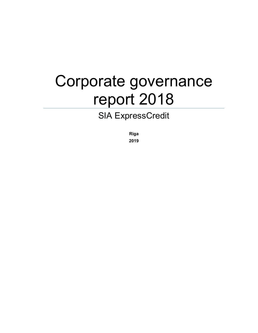# Corporate governance report 2018

# SIA ExpressCredit

Riga

2019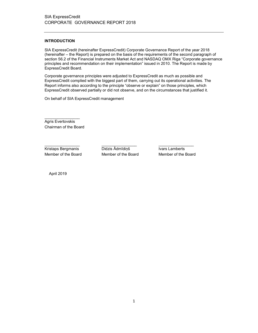# INTRODUCTION

SIA ExpressCredit (hereinafter ExpressCredit) Corporate Governance Report of the year 2018 (hereinafter – the Report) is prepared on the basis of the requirements of the second paragraph of section 56.2 of the Financial Instruments Market Act and NASDAQ OMX Riga "Corporate governance principles and recommendation on their implementation" issued in 2010. The Report is made by ExpressCredit Board.

Corporate governance principles were adjusted to ExpressCredit as much as possible and ExpressCredit complied with the biggest part of them, carrying out its operational activities. The Report informs also according to the principle "observe or explain" on those principles, which ExpressCredit observed partially or did not observe, and on the circumstances that justified it.

On behalf of SIA ExpressCredit management

 $\mathcal{L}_\text{max}$  , where  $\mathcal{L}_\text{max}$ Agris Evertovskis Chairman of the Board

\_\_\_\_\_\_\_\_\_\_\_\_\_\_\_\_ \_\_\_\_\_\_\_\_\_\_\_\_\_\_\_\_ \_\_\_\_\_\_\_\_\_\_\_\_\_\_\_\_ Kristaps Bergmanis Didzis Ādmīdiņš Ivars Lamberts Member of the Board Member of the Board Member of the Board

April 2019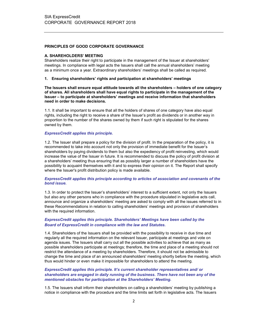# PRINCIPLES OF GOOD CORPORATE GOVERNANCE

# A. SHAREHOLDERS' MEETING

Shareholders realize their right to participate in the management of the Issuer at shareholders' meetings. In compliance with legal acts the Issuers shall call the annual shareholders' meeting as a minimum once a year. Extraordinary shareholders' meetings shall be called as required.

# 1. Ensuring shareholders' rights and participation at shareholders' meetings

The Issuers shall ensure equal attitude towards all the shareholders – holders of one category of shares. All shareholders shall have equal rights to participate in the management of the Issuer – to participate at shareholders' meetings and receive information that shareholders need in order to make decisions.

1.1. It shall be important to ensure that all the holders of shares of one category have also equal rights, including the right to receive a share of the Issuer's profit as dividends or in another way in proportion to the number of the shares owned by them if such right is stipulated for the shares owned by them.

#### ExpressCredit applies this principle.

1.2. The Issuer shall prepare a policy for the division of profit. In the preparation of the policy, it is recommended to take into account not only the provision of immediate benefit for the Issuer's shareholders by paying dividends to them but also the expediency of profit reinvesting, which would increase the value of the Issuer in future. It is recommended to discuss the policy of profit division at a shareholders' meeting thus ensuring that as possibly larger a number of shareholders have the possibility to acquaint themselves with it and to express their opinion on it. The Report shall specify where the Issuer's profit distribution policy is made available.

#### ExpressCredit applies this principle according to articles of association and covenants of the bond issue.

1.3. In order to protect the Issuer's shareholders' interest to a sufficient extent, not only the Issuers but also any other persons who in compliance with the procedure stipulated in legislative acts call, announce and organize a shareholders' meeting are asked to comply with all the issues referred to in these Recommendations in relation to calling shareholders' meetings and provision of shareholders with the required information.

# ExpressCredit applies this principle. Shareholders' Meetings have been called by the Board of ExpressCredit in compliance with the law and Statutes.

1.4. Shareholders of the Issuers shall be provided with the possibility to receive in due time and regularly all the required information on the relevant Issuer, participate at meetings and vote on agenda issues. The Issuers shall carry out all the possible activities to achieve that as many as possible shareholders participate at meetings; therefore, the time and place of a meeting should not restrict the attendance of a meeting by shareholders. Therefore, it should not be admissible to change the time and place of an announced shareholders' meeting shortly before the meeting, which thus would hinder or even make it impossible for shareholders to attend the meeting.

#### ExpressCredit applies this principle. It's current shareholder representatives and/ or shareholders are engaged in daily running of the business. There have not been any of the mentioned obstacles for participation at the Shareholders' Meeting.

1.5. The Issuers shall inform their shareholders on calling a shareholders' meeting by publishing a notice in compliance with the procedure and the time limits set forth in legislative acts. The Issuers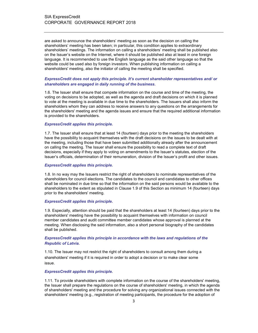are asked to announce the shareholders' meeting as soon as the decision on calling the shareholders' meeting has been taken; in particular, this condition applies to extraordinary shareholders' meetings. The information on calling a shareholders' meeting shall be published also on the Issuer's website on the Internet, where it should be published also at least in one foreign language. It is recommended to use the English language as the said other language so that the website could be used also by foreign investors. When publishing information on calling a shareholders' meeting, also the initiator of calling the meeting shall be specified.

# ExpressCredit does not apply this principle. It's current shareholder representatives and/ or shareholders are engaged in daily running of the business.

1.6. The Issuer shall ensure that compete information on the course and time of the meeting, the voting on decisions to be adopted, as well as the agenda and draft decisions on which it is planned to vote at the meeting is available in due time to the shareholders. The Issuers shall also inform the shareholders whom they can address to receive answers to any questions on the arrangements for the shareholders' meeting and the agenda issues and ensure that the required additional information is provided to the shareholders.

#### ExpressCredit applies this principle.

1.7. The Issuer shall ensure that at least 14 (fourteen) days prior to the meeting the shareholders have the possibility to acquaint themselves with the draft decisions on the issues to be dealt with at the meeting, including those that have been submitted additionally already after the announcement on calling the meeting. The Issuer shall ensure the possibility to read a complete text of draft decisions, especially if they apply to voting on amendments to the Issuer's statutes, election of the Issuer's officials, determination of their remuneration, division of the Issuer's profit and other issues.

#### ExpressCredit applies this principle.

1.8. In no way may the Issuers restrict the right of shareholders to nominate representatives of the shareholders for council elections. The candidates to the council and candidates to other offices shall be nominated in due time so that the information on the said persons would be available to the shareholders to the extent as stipulated in Clause 1.9 of this Section as minimum 14 (fourteen) days prior to the shareholders' meeting.

#### ExpressCredit applies this principle.

1.9. Especially, attention should be paid that the shareholders at least 14 (fourteen) days prior to the shareholders' meeting have the possibility to acquaint themselves with information on council member candidates and audit committee member candidates whose approval is planned at the meeting. When disclosing the said information, also a short personal biography of the candidates shall be published.

# ExpressCredit applies this principle in accordance with the laws and regulations of the Republic of Latvia.

1.10. The Issuer may not restrict the right of shareholders to consult among them during a shareholders' meeting if it is required in order to adopt a decision or to make clear some issue.

#### ExpressCredit applies this principle.

1.11. To provide shareholders with complete information on the course of the shareholders' meeting, the Issuer shall prepare the regulations on the course of shareholders' meeting, in which the agenda of shareholders' meeting and the procedure for solving any organizational issues connected with the shareholders' meeting (e.g., registration of meeting participants, the procedure for the adoption of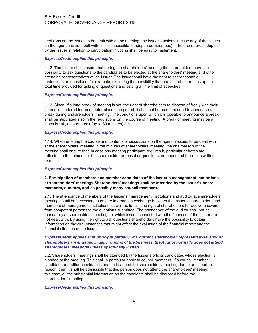decisions on the issues to be dealt with at the meeting, the Issuer's actions in case any of the issues on the agenda is not dealt with, if it is impossible to adopt a decision etc.) . The procedures adopted by the Issuer in relation to participation in voting shall be easy to implement.

#### ExpressCredit applies this principle.

1.12. The Issuer shall ensure that during the shareholders' meeting the shareholders have the possibility to ask questions to the candidates to be elected at the shareholders' meeting and other attending representatives of the Issuer. The Issuer shall have the right to set reasonable restrictions on questions, for example, excluding the possibility that one shareholder uses up the total time provided for asking of questions and setting a time limit of speeches.

# ExpressCredit applies this principle.

1.13. Since, if a long break of meeting is set, the right of shareholders to dispose of freely with their shares is hindered for an undetermined time period, it shall not be recommended to announce a break during a shareholders' meeting. The conditions upon which it is possible to announce a break shall be stipulated also in the regulations on the course of meeting. A break of meeting may be a lunch break, a short break (up to 30 minutes) etc.

# ExpressCredit applies this principle.

1.14. When entering the course and contents of discussions on the agenda issues to be dealt with at the shareholders' meeting in the minutes of shareholders' meeting, the chairperson of the meeting shall ensure that, in case any meeting participant requires it, particular debates are reflected in the minutes or that shareholder proposal or questions are appended thereto in written form.

#### ExpressCredit applies this principle.

# 2. Participation of members and member candidates of the Issuer's management institutions at shareholders' meetings Shareholders' meetings shall be attended by the Issuer's board members, auditors, and as possibly many council members.

2.1. The attendance of members of the Issuer's management institutions and auditor at shareholders' meetings shall be necessary to ensure information exchange between the Issuer's shareholders and members of management institutions as well as to fulfil the right of shareholders to receive answers from competent persons to the questions submitted. The attendance of the auditor shall not be mandatory at shareholders' meetings at which issues connected with the finances of the Issuer are not dealt with. By using the right to ask questions shareholders have the possibility to obtain information on the circumstances that might affect the evaluation of the financial report and the financial situation of the Issuer.

# ExpressCredit applies this principle partially. It's current shareholder representatives and/ or shareholders are engaged in daily running of the business, the Auditor normally does not attend shareholders' meetings unless specifically invited.

2.2. Shareholders' meetings shall be attended by the Issuer's official candidates whose election is planned at the meeting. This shall in particular apply to council members. If a council member candidate or auditor candidate is unable to attend the shareholders' meeting due to an important reason, then it shall be admissible that this person does not attend the shareholders' meeting. In this case, all the substantial information on the candidate shall be disclosed before the shareholders' meeting.

#### ExpressCredit applies this principle.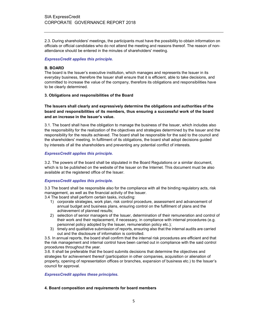2.3. During shareholders' meetings, the participants must have the possibility to obtain information on officials or official candidates who do not attend the meeting and reasons thereof. The reason of nonattendance should be entered in the minutes of shareholders' meeting.

# ExpressCredit applies this principle.

# B. BOARD

The board is the Issuer's executive institution, which manages and represents the Issuer in its everyday business, therefore the Issuer shall ensure that it is efficient, able to take decisions, and committed to increase the value of the company, therefore its obligations and responsibilities have to be clearly determined.

# 3. Obligations and responsibilities of the Board

# The Issuers shall clearly and expressively determine the obligations and authorities of the board and responsibilities of its members, thus ensuring a successful work of the board and an increase in the Issuer's value.

3.1. The board shall have the obligation to manage the business of the Issuer, which includes also the responsibility for the realization of the objectives and strategies determined by the Issuer and the responsibility for the results achieved. The board shall be responsible for the said to the council and the shareholders' meeting. In fulfilment of its obligations, the board shall adopt decisions guided by interests of all the shareholders and preventing any potential conflict of interests.

# ExpressCredit applies this principle.

3.2. The powers of the board shall be stipulated in the Board Regulations or a similar document, which is to be published on the website of the Issuer on the Internet. This document must be also available at the registered office of the Issuer.

# ExpressCredit applies this principle.

3.3 The board shall be responsible also for the compliance with all the binding regulatory acts, risk management, as well as the financial activity of the Issuer.

3.4 The board shall perform certain tasks, including:

- 1) corporate strategies, work plan, risk control procedure, assessment and advancement of annual budget and business plans, ensuring control on the fulfilment of plans and the achievement of planned results;
- 2) selection of senior managers of the Issuer, determination of their remuneration and control of their work and their replacement, if necessary, in compliance with internal procedures (e.g. personnel policy adopted by the Issuer, remuneration policy etc.);
- 3) timely and qualitative submission of reports, ensuring also that the internal audits are carried out and the disclosure of information is controlled.

3.5. In annual reports, the board shall confirm that the internal risk procedures are efficient and that the risk management and internal control have been carried out in compliance with the said control procedures throughout the year.

3.6. It shall be preferable that the board submits decisions that determine the objectives and strategies for achievement thereof (participation in other companies, acquisition or alienation of property, opening of representation offices or branches, expansion of business etc.) to the Issuer's council for approval.

# ExpressCredit applies these principles.

# 4. Board composition and requirements for board members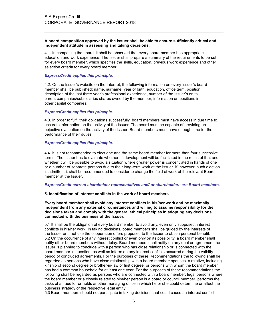#### A board composition approved by the Issuer shall be able to ensure sufficiently critical and independent attitude in assessing and taking decisions.

4.1. In composing the board, it shall be observed that every board member has appropriate education and work experience. The Issuer shall prepare a summary of the requirements to be set for every board member, which specifies the skills, education, previous work experience and other selection criteria for every board member.

#### ExpressCredit applies this principle.

4.2. On the Issuer's website on the Internet, the following information on every Issuer's board member shall be published: name, surname, year of birth, education, office term, position, description of the last three year's professional experience, number of the Issuer's or its parent companies/subsidiaries shares owned by the member, information on positions in other capital companies.

#### ExpressCredit applies this principle.

4.3. In order to fulfil their obligations successfully, board members must have access in due time to accurate information on the activity of the Issuer. The board must be capable of providing an objective evaluation on the activity of the Issuer. Board members must have enough time for the performance of their duties.

#### ExpressCredit applies this principle.

4.4. It is not recommended to elect one and the same board member for more than four successive terms. The Issuer has to evaluate whether its development will be facilitated in the result of that and whether it will be possible to avoid a situation where greater power is concentrated in hands of one or a number of separate persons due to their long-term work at the Issuer. If, however, such election is admitted, it shall be recommended to consider to change the field of work of the relevant Board member at the Issuer.

#### ExpressCredit current shareholder representatives and/ or shareholders are Board members.

#### 5. Identification of interest conflicts in the work of board members

#### Every board member shall avoid any interest conflicts in his/her work and be maximally independent from any external circumstances and willing to assume responsibility for the decisions taken and comply with the general ethical principles in adopting any decisions connected with the business of the Issuer.

5.1 It shall be the obligation of every board member to avoid any, even only supposed, interest conflicts in his/her work. In taking decisions, board members shall be guided by the interests of the Issuer and not use the cooperation offers proposed to the Issuer to obtain personal benefit. 5.2 On the occurrence of any interest conflict or even only on its possibility, a board member shall notify other board members without delay. Board members shall notify on any deal or agreement the Issuer is planning to conclude with a person who has close relationship or is connected with the board member in question, as well as inform on any interest conflicts occurred during the validity period of concluded agreements. For the purposes of these Recommendations the following shall be regarded as persons who have close relationship with a board member: spouses, a relative, including kinship of second degree or brother-in-law of first degree, or persons with whom the board member has had a common household for at least one year. For the purposes of these recommendations the following shall be regarded as persons who are connected with a board member: legal persons where the board member or a closely related to him/her person is a board or council member, performs the tasks of an auditor or holds another managing office in which he or she could determine or affect the business strategy of the respective legal entity.

5.3 Board members should not participate in taking decisions that could cause an interest conflict.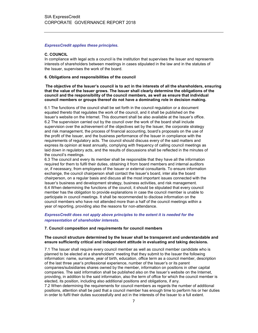#### ExpressCredit applies these principles.

#### C. COUNCIL

In compliance with legal acts a council is the institution that supervises the Issuer and represents interests of shareholders between meetings in cases stipulated in the law and in the statutes of the Issuer, supervises the work of the board.

#### 6. Obligations and responsibilities of the council

 The objective of the Issuer's council is to act in the interests of all the shareholders, ensuring that the value of the Issuer grows. The Issuer shall clearly determine the obligations of the council and the responsibility of the council members, as well as ensure that individual council members or groups thereof do not have a dominating role in decision making.

6.1 The functions of the council shall be set forth in the council regulation or a document equated thereto that regulates the work of the council, and it shall be published on the Issuer's website on the Internet. This document shall be also available at the Issuer's office. 6.2 The supervision carried out by the council over the work of the board shall include supervision over the achievement of the objectives set by the Issuer, the corporate strategy and risk management, the process of financial accounting, board's proposals on the use of the profit of the Issuer, and the business performance of the Issuer in compliance with the requirements of regulatory acts. The council should discuss every of the said matters and express its opinion at least annually, complying with frequency of calling council meetings as laid down in regulatory acts, and the results of discussions shall be reflected in the minutes of the council's meetings.

6.3 The council and every its member shall be responsible that they have all the information required for them to fulfil their duties, obtaining it from board members and internal auditors or, if necessary, from employees of the Issuer or external consultants. To ensure information exchange, the council chairperson shall contact the Issuer's board, inter alia the board chairperson, on a regular basis and discuss all the most important issues connected with the Issuer's business and development strategy, business activities, and risk management. 6.4 When determining the functions of the council, it should be stipulated that every council member has the obligation to provide explanations in case the council member is unable to participate in council meetings. It shall be recommended to disclose information on the council members who have not attended more than a half of the council meetings within a year of reporting, providing also the reasons for non-attendance.

# ExpressCredit does not apply above principles to the extent it is needed for the representation of shareholder interests.

#### 7. Council composition and requirements for council members

#### The council structure determined by the Issuer shall be transparent and understandable and ensure sufficiently critical and independent attitude in evaluating and taking decisions.

7.1 The Issuer shall require every council member as well as council member candidate who is planned to be elected at a shareholders' meeting that they submit to the Issuer the following information: name, surname, year of birth, education, office term as a council member, description of the last three year's professional experience, number of the Issuer's or its parent companies/subsidiaries shares owned by the member, information on positions in other capital companies. The said information shall be published also on the Issuer's website on the Internet, providing, in addition to the said information, also the term of office for which the council member is elected, its position, including also additional positions and obligations, if any.

7.2 When determining the requirements for council members as regards the number of additional positions, attention shall be paid that a council member has enough time to perform his or her duties in order to fulfil their duties successfully and act in the interests of the Issuer to a full extent.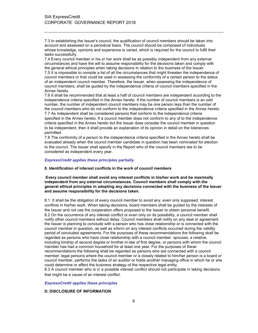7.3 In establishing the Issuer's council, the qualification of council members should be taken into account and assessed on a periodical basis. The council should be composed of individuals whose knowledge, opinions and experience is varied, which is required for the council to fulfil their tasks successfully.

7.4 Every council member in his or her work shall be as possibly independent from any external circumstances and have the will to assume responsibility for the decisions taken and comply with the general ethical principles when taking decisions in relation to the business of the Issuer. 7.5 It is impossible to compile a list of all the circumstances that might threaten the independence of council members or that could be used in assessing the conformity of a certain person to the status of an independent council member. Therefore, the Issuer, when assessing the independence of council members, shall be guided by the independence criteria of council members specified in the Annex hereto.

7.6 It shall be recommended that at least a half of council members are independent according to the independence criteria specified in the Annex hereto. If the number of council members is an odd number, the number of independent council members may be one person less than the number of the council members who do not conform to the independence criteria specified in the Annex hereto. 7.7 As independent shall be considered persons that conform to the independence criteria specified in the Annex hereto. If a council member does not conform to any of to the independence criteria specified in the Annex hereto but the Issuer does consider the council member in question to be independent, then it shall provide an explanation of its opinion in detail on the tolerances

permitted.

7.8 The conformity of a person to the independence criteria specified in the Annex hereto shall be evaluated already when the council member candidate in question has been nominated for election to the council. The Issuer shall specify in the Report who of the council members are to be considered as independent every year.

#### ExpressCredit applies these principles partially.

#### 8. Identification of interest conflicts in the work of council members

#### Every council member shall avoid any interest conflicts in his/her work and be maximally independent from any external circumstances. Council members shall comply with the general ethical principles in adopting any decisions connected with the business of the Issuer and assume responsibility for the decisions taken.

8.1. It shall be the obligation of every council member to avoid any, even only supposed, interest conflicts in his/her work. When taking decisions, board members shall be guided by the interests of the Issuer and not use the cooperation offers proposed to the Issuer to obtain personal benefit. 8.2 On the occurrence of any interest conflict or even only on its possibility, a council member shall notify other council members without delay. Council members shall notify on any deal or agreement the Issuer is planning to conclude with a person who has close relationship or is connected with the council member in question, as well as inform on any interest conflicts occurred during the validity period of concluded agreements. For the purposes of these recommendations the following shall be regarded as persons who have close relationship with a council member: spouses, a relative, including kinship of second degree or brother-in-law of first degree, or persons with whom the council member has had a common household for at least one year. For the purposes of these recommendations the following shall be regarded as persons who are connected with a council member: legal persons where the council member or a closely related to him/her person is a board or council member, performs the tasks of an auditor or holds another managing office in which he or she could determine or affect the business strategy of the respective legal entity.

8.3 A council member who is in a possible interest conflict should not participate in taking decisions that might be a cause of an interest conflict.

#### ExpressCredit applies these principles

# D. DISCLOSURE OF INFORMATION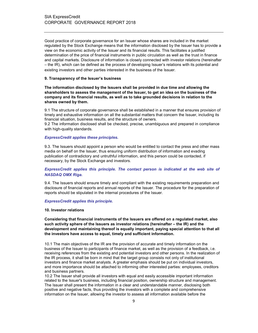Good practice of corporate governance for an Issuer whose shares are included in the market regulated by the Stock Exchange means that the information disclosed by the Issuer has to provide a view on the economic activity of the Issuer and its financial results. This facilitates a justified determination of the price of financial instruments in public circulation as well as the trust in finance and capital markets. Disclosure of information is closely connected with investor relations (hereinafter – the IR), which can be defined as the process of developing Issuer's relations with its potential and existing investors and other parties interested in the business of the Issuer.

#### 9. Transparency of the Issuer's business

The information disclosed by the Issuers shall be provided in due time and allowing the shareholders to assess the management of the Issuer, to get an idea on the business of the company and its financial results, as well as to take grounded decisions in relation to the shares owned by them.

9.1 The structure of corporate governance shall be established in a manner that ensures provision of timely and exhaustive information on all the substantial matters that concern the Issuer, including its financial situation, business results, and the structure of owners.

9.2 The information disclosed shall be checked, precise, unambiguous and prepared in compliance with high-quality standards.

#### ExpressCredit applies these principles.

9.3. The Issuers should appoint a person who would be entitled to contact the press and other mass media on behalf on the Issuer, thus ensuring uniform distribution of information and evading publication of contradictory and untruthful information, and this person could be contacted, if necessary, by the Stock Exchange and investors.

# ExpressCredit applies this principle. The contact person is indicated at the web site of NASDAQ OMX Riga.

9.4. The Issuers should ensure timely and compliant with the existing requirements preparation and disclosure of financial reports and annual reports of the Issuer. The procedure for the preparation of reports should be stipulated in the internal procedures of the Issuer.

#### ExpressCredit applies this principle.

#### 10. Investor relations

Considering that financial instruments of the Issuers are offered on a regulated market, also such activity sphere of the Issuers as investor relations (hereinafter – the IR) and the development and maintaining thereof is equally important, paying special attention to that all the investors have access to equal, timely and sufficient information.

10.1 The main objectives of the IR are the provision of accurate and timely information on the business of the Issuer to participants of finance market, as well as the provision of a feedback, i.e. receiving references from the existing and potential investors and other persons. In the realization of the IR process, it shall be born in mind that the target group consists not only of institutional investors and finance market analysts. A greater emphasis should be put on individual investors, and more importance should be attached to informing other interested parties: employees, creditors and business partners.

10.2 The Issuer shall provide all investors with equal and easily accessible important information related to the Issuer's business, including financial position, ownership structure and management. The Issuer shall present the information in a clear and understandable manner, disclosing both positive and negative facts, thus providing the investors with a complete and comprehensive information on the Issuer, allowing the investor to assess all information available before the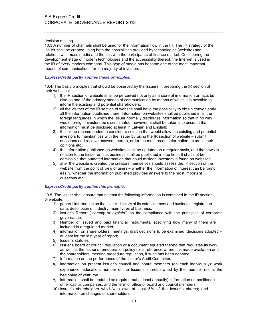#### decision making.

10.3 A number of channels shall be used for the information flow in the IR. The IR strategy of the Issuer shall be created using both the possibilities provided by technologies (website) and relations with mass media and the ties with the participants of finance market. Considering the development stage of modern technologies and the accessibility thereof, the Internet is used in the IR of every modern company. This type of media has become one of the most important means of communications for the majority of investors.

# ExpressCredit partly applies these principles.

10.4. The basic principles that should be observed by the Issuers in preparing the IR section of their websites:

- 1) the IR section of website shall be perceived not only as a store of information or facts but also as one of the primary means of communication by means of which it is possible to inform the existing and potential shareholders;
- 2) all the visitors of the IR section of website shall have the possibility to obtain conveniently all the information published there. Information on websites shall be published in all the foreign languages in which the Issuer normally distributes information so that in no way would foreign investors be discriminated, however, it shall be taken into account that information must be disclosed at least in Latvian and English;
- 3) It shall be recommended to consider a solution that would allow the existing and potential investors to maintain ties with the Issuer by using the IR section of website – submit questions and receive answers thereto, order the most recent information, express their opinions etc.;
- 4) the information published on websites shall be updated on a regular basis, and the news in relation to the Issuer and its business shall be published in due time. It shall not be admissible that outdated information that could mislead investors is found on websites;
- 5) after the website is created the creators themselves should assess the IR section of the website from the point of view of users – whether the information of interest can be found easily, whether the information published provides answers to the most important questions etc.

#### ExpressCredit partly applies this principle.

10.5. The Issuer shall ensure that at least the following information is contained in the IR section of website:

- 1) general information on the Issuer history of its establishment and business, registration data, description of industry, main types of business;
- 2) Issuer's Report ("comply or explain") on the compliance with the principles of corporate governance;
- 3) Number of issued and paid financial instruments, specifying how many of them are included in a regulated market;
- 4) information on shareholders' meetings, draft decisions to be examined, decisions adopted at least for the last year of report;
- 5) Issuer's statutes;
- 6) Issuer's board or council regulation or a document equated thereto that regulates its work, as well as the Issuer's remuneration policy (or a reference where it is made available) and the shareholders' meeting procedure regulation, if such has been adopted;
- 7) Information on the performance of the Issuer's Audit Committee;
- 8) information on present Issuer's council and board members (on each individually): work experience, education, number of the Issuer's shares owned by the member (as at the beginning of year; the
- 9) information shall be updated as required but at least annually), information on positions in other capital companies, and the term of office of board and council members;
- 10) Issuer's shareholders which/who own at least 5% of the Issuer's shares; and information on changes of shareholders;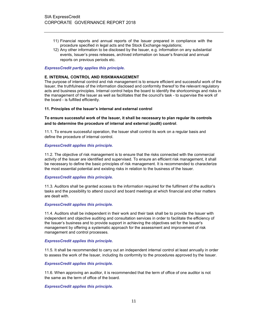- 11) Financial reports and annual reports of the Issuer prepared in compliance with the procedure specified in legal acts and the Stock Exchange regulations;
- 12) Any other information to be disclosed by the Issuer, e.g. information on any substantial events, Issuer's press releases, archived information on Issuer's financial and annual reports on previous periods etc.

#### ExpressCredit partly applies this principle.

#### E. INTERNAL CONTROL AND RISKMANAGEMENT

The purpose of internal control and risk management is to ensure efficient and successful work of the Issuer, the truthfulness of the information disclosed and conformity thereof to the relevant regulatory acts and business principles. Internal control helps the board to identify the shortcomings and risks in the management of the Issuer as well as facilitates that the council's task - to supervise the work of the board - is fulfilled efficiently.

#### 11. Principles of the Issuer's internal and external control

# To ensure successful work of the Issuer, it shall be necessary to plan regular its controls and to determine the procedure of internal and external (audit) control.

11.1. To ensure successful operation, the Issuer shall control its work on a regular basis and define the procedure of internal control.

#### ExpressCredit applies this principle.

11.2. The objective of risk management is to ensure that the risks connected with the commercial activity of the Issuer are identified and supervised. To ensure an efficient risk management, it shall be necessary to define the basic principles of risk management. It is recommended to characterize the most essential potential and existing risks in relation to the business of the Issuer.

#### ExpressCredit applies this principle.

11.3. Auditors shall be granted access to the information required for the fulfilment of the auditor's tasks and the possibility to attend council and board meetings at which financial and other matters are dealt with.

#### ExpressCredit applies this principle.

11.4. Auditors shall be independent in their work and their task shall be to provide the Issuer with independent and objective auditing and consultation services in order to facilitate the efficiency of the Issuer's business and to provide support in achieving the objectives set for the Issuer's management by offering a systematic approach for the assessment and improvement of risk management and control processes.

#### ExpressCredit applies this principle.

11.5. It shall be recommended to carry out an independent internal control at least annually in order to assess the work of the Issuer, including its conformity to the procedures approved by the Issuer.

#### ExpressCredit applies this principle.

11.6. When approving an auditor, it is recommended that the term of office of one auditor is not the same as the term of office of the board.

#### ExpressCredit applies this principle.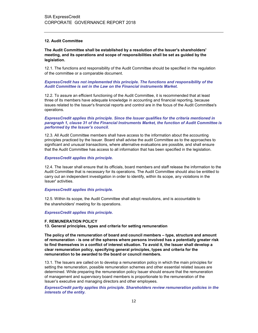#### 12. Audit Committee

The Audit Committee shall be established by a resolution of the Issuer's shareholders' meeting, and its operations and scope of responsibilities shall be set as guided by the legislation.

12.1. The functions and responsibility of the Audit Committee should be specified in the regulation of the committee or a comparable document.

# ExpressCredit has not implemented this principle. The functions and responsibility of the Audit Committee is set in the Law on the Financial instruments Market.

12.2. To assure an efficient functioning of the Audit Committee, it is recommended that at least three of its members have adequate knowledge in accounting and financial reporting, because issues related to the Issuer's financial reports and control are in the focus of the Audit Committee's operations.

#### ExpressCredit applies this principle. Since the Issuer qualifies for the criteria mentioned in paragraph 1, clause 31 of the Financial Instruments Market, the function of Audit Committee is performed by the Issuer's council.

12.3. All Audit Committee members shall have access to the information about the accounting principles practiced by the Issuer. Board shall advise the audit Committee as to the approaches to significant and unusual transactions, where alternative evaluations are possible, and shall ensure that the Audit Committee has access to all information that has been specified in the legislation.

### ExpressCredit applies this principle.

12.4. The Issuer shall ensure that its officials, board members and staff release the information to the Audit Committee that is necessary for its operations. The Audit Committee should also be entitled to carry out an independent investigation in order to identify, within its scope, any violations in the Issuer' activities.

#### ExpressCredit applies this principle.

12.5. Within its scope, the Audit Committee shall adopt resolutions, and is accountable to the shareholders' meeting for its operations.

### ExpressCredit applies this principle.

#### F. REMUNERATION POLICY

13. General principles, types and criteria for setting remuneration

The policy of the remuneration of board and council members – type, structure and amount of remuneration - is one of the spheres where persons involved has a potentially greater risk to find themselves in a conflict of interest situation. To avoid it, the Issuer shall develop a clear remuneration policy, specifying general principles, types and criteria for the remuneration to be awarded to the board or council members.

13.1. The Issuers are called on to develop a remuneration policy in which the main principles for setting the remuneration, possible remuneration schemes and other essential related issues are determined. While preparing the remuneration policy Issuer should ensure that the remuneration of management and supervisory board members is proportionate to the remuneration of the Issuer's executive and managing directors and other employees.

ExpressCredit partly applies this principle. Shareholders review remuneration policies in the interests of the entity.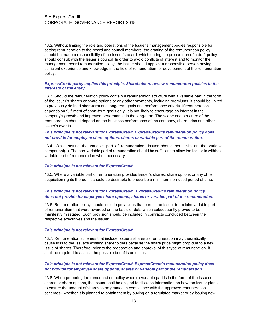13.2. Without limiting the role and operations of the Issuer's management bodies responsible for setting remuneration to the board and council members, the drafting of the remuneration policy should be made a responsibility of the Issuer's board, which during the preparation of a draft policy should consult with the Issuer's council. In order to avoid conflicts of interest and to monitor the management board remuneration policy, the Issuer should appoint a responsible person having sufficient experience and knowledge in the field of remuneration for development of the remuneration policy.

#### ExpressCredit partly applies this principle. Shareholders review remuneration policies in the interests of the entity.

13.3. Should the remuneration policy contain a remuneration structure with a variable part in the form of the Issuer's shares or share options or any other payments, including premiums, it should be linked to previously defined short-term and long-term goals and performance criteria. If remuneration depends on fulfilment of short-term goals only, it is not likely to encourage an interest in the company's growth and improved performance in the long-term. The scope and structure of the remuneration should depend on the business performance of the company, share price and other Issuer's events.

# This principle is not relevant for ExpressCredit. ExpressCredit's remuneration policy does not provide for employee share options, shares or variable part of the remuneration.

13.4. While setting the variable part of remuneration, Issuer should set limits on the variable component(s). The non-variable part of remuneration should be sufficient to allow the Issuer to withhold variable part of remuneration when necessary.

#### This principle is not relevant for ExpressCredit.

13.5. Where a variable part of remuneration provides Issuer's shares, share options or any other acquisition rights thereof, it should be desirable to prescribe a minimum non-used period of time.

# This principle is not relevant for ExpressCredit. ExpressCredit's remuneration policy does not provide for employee share options, shares or variable part of the remuneration.

13.6. Remuneration policy should include provisions that permit the Issuer to reclaim variable part of remuneration that were awarded on the basis of data which subsequently proved to be manifestly misstated. Such provision should be included in contracts concluded between the respective executives and the Issuer.

#### This principle is not relevant for ExpressCredit.

13.7. Remuneration schemes that include Issuer's shares as remuneration may theoretically cause loss to the Issuer's existing shareholders because the share price might drop due to a new issue of shares. Therefore, prior to the preparation and approval of this type of remuneration, it shall be required to assess the possible benefits or losses.

# This principle is not relevant for ExpressCredit. ExpressCredit's remuneration policy does not provide for employee share options, shares or variable part of the remuneration.

13.8. When preparing the remuneration policy where a variable part is in the form of the Issuer's shares or share options, the Issuer shall be obliged to disclose information on how the Issuer plans to ensure the amount of shares to be granted in compliance with the approved remuneration schemes– whether it is planned to obtain them by buying on a regulated market or by issuing new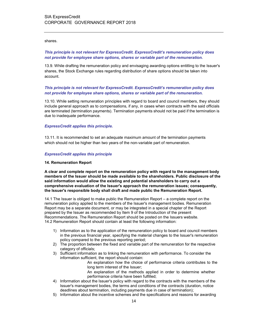shares.

# This principle is not relevant for ExpressCredit. ExpressCredit's remuneration policy does not provide for employee share options, shares or variable part of the remuneration.

13.9. While drafting the remuneration policy and envisaging awarding options entitling to the Issuer's shares, the Stock Exchange rules regarding distribution of share options should be taken into account.

# This principle is not relevant for ExpressCredit. ExpressCredit's remuneration policy does not provide for employee share options, shares or variable part of the remuneration.

13.10. While setting remuneration principles with regard to board and council members, they should include general approach as to compensations, if any, in cases when contracts with the said officials are terminated (termination payments). Termination payments should not be paid if the termination is due to inadequate performance.

#### ExpressCredit applies this principle.

13.11. It is recommended to set an adequate maximum amount of the termination payments which should not be higher than two years of the non-variable part of remuneration.

#### ExpressCredit applies this principle

#### 14. Remuneration Report

A clear and complete report on the remuneration policy with regard to the management body members of the Issuer should be made available to the shareholders. Public disclosure of the said information would allow the existing and potential shareholders to carry out a comprehensive evaluation of the Issuer's approach the remuneration issues; consequently, the Issuer's responsible body shall draft and made public the Remuneration Report.

14.1 The Issuer is obliged to make public the Remuneration Report – a complete report on the remuneration policy applied to the members of the Issuer's management bodies. Remuneration Report may be a separate document, or may be integrated in a special chapter of the Report prepared by the Issuer as recommended by Item 9 of the Introduction of the present Recommendations. The Remuneration Report should be posted on the Issuers website. 14.2 Remuneration Report should contain at least the following information:

- 1) Information as to the application of the remuneration policy to board and council members in the previous financial year, specifying the material changes to the Issuer's remuneration policy compared to the previous reporting period;
- 2) The proportion between the fixed and variable part of the remuneration for the respective category of officials;
- 3) Sufficient information as to linking the remuneration with performance. To consider the information sufficient, the report should contain:
	- An explanation how the choice of performance criteria contributes to the long term interest of the Issuer;
	- An explanation of the methods applied in order to determine whether performance criteria have been fulfilled;
- 4) Information about the Issuer's policy with regard to the contracts with the members of the Issuer's management bodies, the terms and conditions of the contracts (duration, notice deadlines about termination, including payments due in case of termination);
- 5) Information about the incentive schemes and the specifications and reasons for awarding